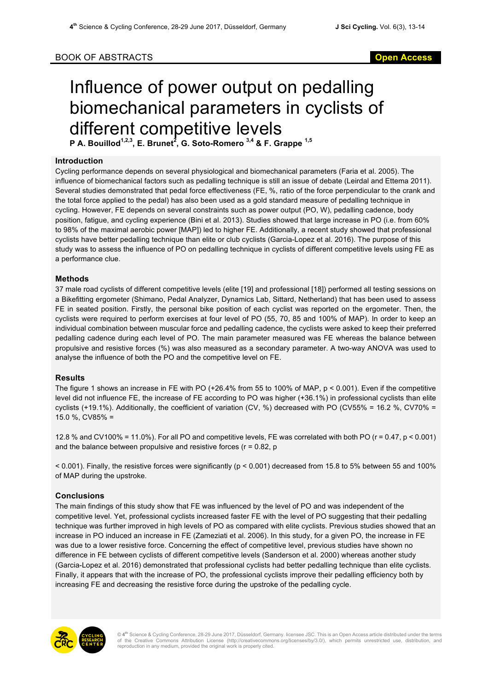## BOOK OF ABSTRACTS **Open Access**

# Influence of power output on pedalling biomechanical parameters in cyclists of different competitive levels

**P A. Bouillod1,2,3, E. Brunet2 , G. Soto-Romero 3,4 & F. Grappe 1,5**

#### **Introduction**

Cycling performance depends on several physiological and biomechanical parameters (Faria et al. 2005). The influence of biomechanical factors such as pedalling technique is still an issue of debate (Leirdal and Ettema 2011). Several studies demonstrated that pedal force effectiveness (FE, %, ratio of the force perpendicular to the crank and the total force applied to the pedal) has also been used as a gold standard measure of pedalling technique in cycling. However, FE depends on several constraints such as power output (PO, W), pedalling cadence, body position, fatigue, and cycling experience (Bini et al. 2013). Studies showed that large increase in PO (i.e. from 60% to 98% of the maximal aerobic power [MAP]) led to higher FE. Additionally, a recent study showed that professional cyclists have better pedalling technique than elite or club cyclists (Garcia-Lopez et al. 2016). The purpose of this study was to assess the influence of PO on pedalling technique in cyclists of different competitive levels using FE as a performance clue.

#### **Methods**

37 male road cyclists of different competitive levels (elite [19] and professional [18]) performed all testing sessions on a Bikefitting ergometer (Shimano, Pedal Analyzer, Dynamics Lab, Sittard, Netherland) that has been used to assess FE in seated position. Firstly, the personal bike position of each cyclist was reported on the ergometer. Then, the cyclists were required to perform exercises at four level of PO (55, 70, 85 and 100% of MAP). In order to keep an individual combination between muscular force and pedalling cadence, the cyclists were asked to keep their preferred pedalling cadence during each level of PO. The main parameter measured was FE whereas the balance between propulsive and resistive forces (%) was also measured as a secondary parameter. A two-way ANOVA was used to analyse the influence of both the PO and the competitive level on FE.

#### **Results**

The figure 1 shows an increase in FE with PO (+26.4% from 55 to 100% of MAP, p < 0.001). Even if the competitive level did not influence FE, the increase of FE according to PO was higher (+36.1%) in professional cyclists than elite cyclists (+19.1%). Additionally, the coefficient of variation (CV, %) decreased with PO (CV55% = 16.2 %, CV70% = 15.0 %, CV85% =

12.8 % and CV100% = 11.0%). For all PO and competitive levels, FE was correlated with both PO (r = 0.47, p < 0.001) and the balance between propulsive and resistive forces ( $r = 0.82$ , p

 $<$  0.001). Finally, the resistive forces were significantly ( $p < 0.001$ ) decreased from 15.8 to 5% between 55 and 100% of MAP during the upstroke.

### **Conclusions**

The main findings of this study show that FE was influenced by the level of PO and was independent of the competitive level. Yet, professional cyclists increased faster FE with the level of PO suggesting that their pedalling technique was further improved in high levels of PO as compared with elite cyclists. Previous studies showed that an increase in PO induced an increase in FE (Zameziati et al. 2006). In this study, for a given PO, the increase in FE was due to a lower resistive force. Concerning the effect of competitive level, previous studies have shown no difference in FE between cyclists of different competitive levels (Sanderson et al. 2000) whereas another study (Garcia-Lopez et al. 2016) demonstrated that professional cyclists had better pedalling technique than elite cyclists. Finally, it appears that with the increase of PO, the professional cyclists improve their pedalling efficiency both by increasing FE and decreasing the resistive force during the upstroke of the pedalling cycle.



© 4<sup>th</sup> Science & Cycling Conference, 28-29 June 2017, Düsseldorf, Germany. licensee JSC. This is an Open Access article distributed under the terms<br>of the Creative Commons Attribution License (http://creativecommons.org/l reproduction in any medium, provided the original work is properly cited.